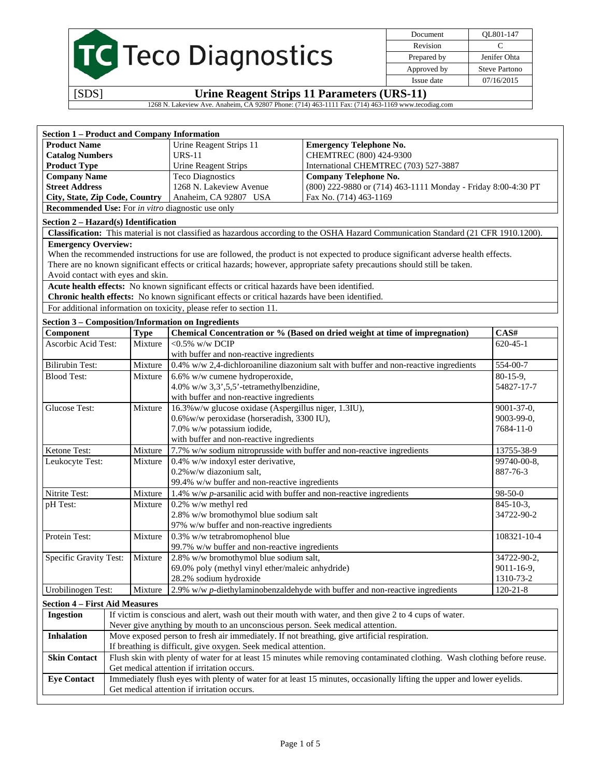| TC Teco Diagnostics |  |
|---------------------|--|
|---------------------|--|

Document QL801-147 Revision C Prepared by **Jenifer Ohta** Approved by Steve Partono Issue date 07/16/2015

[SDS] **Urine Reagent Strips 11 Parameters (URS-11)** 

1268 N. Lakeview Ave. Anaheim, CA 92807 Phone: (714) 463-1111 Fax: (714) 463-1169 www.tecodiag.com

| <b>Section 1 - Product and Company Information</b>                                |                                                                                                                                                                       |             |                                                                                                |                                                                                                                                      |                  |  |
|-----------------------------------------------------------------------------------|-----------------------------------------------------------------------------------------------------------------------------------------------------------------------|-------------|------------------------------------------------------------------------------------------------|--------------------------------------------------------------------------------------------------------------------------------------|------------------|--|
| <b>Product Name</b>                                                               |                                                                                                                                                                       |             | Urine Reagent Strips 11                                                                        | <b>Emergency Telephone No.</b>                                                                                                       |                  |  |
| <b>Catalog Numbers</b>                                                            |                                                                                                                                                                       |             | <b>URS-11</b>                                                                                  | CHEMTREC (800) 424-9300                                                                                                              |                  |  |
| <b>Product Type</b>                                                               |                                                                                                                                                                       |             | Urine Reagent Strips                                                                           | International CHEMTREC (703) 527-3887                                                                                                |                  |  |
| <b>Company Name</b>                                                               |                                                                                                                                                                       |             | <b>Teco Diagnostics</b>                                                                        | <b>Company Telephone No.</b>                                                                                                         |                  |  |
| <b>Street Address</b>                                                             |                                                                                                                                                                       |             | 1268 N. Lakeview Avenue<br>(800) 222-9880 or (714) 463-1111 Monday - Friday 8:00-4:30 PT       |                                                                                                                                      |                  |  |
| Anaheim, CA 92807 USA<br>Fax No. (714) 463-1169<br>City, State, Zip Code, Country |                                                                                                                                                                       |             |                                                                                                |                                                                                                                                      |                  |  |
|                                                                                   |                                                                                                                                                                       |             | <b>Recommended Use:</b> For <i>in vitro</i> diagnostic use only                                |                                                                                                                                      |                  |  |
|                                                                                   |                                                                                                                                                                       |             |                                                                                                |                                                                                                                                      |                  |  |
| Section 2 - Hazard(s) Identification                                              |                                                                                                                                                                       |             |                                                                                                | Classification: This material is not classified as hazardous according to the OSHA Hazard Communication Standard (21 CFR 1910.1200). |                  |  |
| <b>Emergency Overview:</b>                                                        |                                                                                                                                                                       |             |                                                                                                |                                                                                                                                      |                  |  |
|                                                                                   |                                                                                                                                                                       |             |                                                                                                | When the recommended instructions for use are followed, the product is not expected to produce significant adverse health effects.   |                  |  |
|                                                                                   |                                                                                                                                                                       |             |                                                                                                | There are no known significant effects or critical hazards; however, appropriate safety precautions should still be taken.           |                  |  |
| Avoid contact with eyes and skin.                                                 |                                                                                                                                                                       |             |                                                                                                |                                                                                                                                      |                  |  |
|                                                                                   |                                                                                                                                                                       |             | Acute health effects: No known significant effects or critical hazards have been identified.   |                                                                                                                                      |                  |  |
|                                                                                   |                                                                                                                                                                       |             | Chronic health effects: No known significant effects or critical hazards have been identified. |                                                                                                                                      |                  |  |
|                                                                                   |                                                                                                                                                                       |             | For additional information on toxicity, please refer to section 11.                            |                                                                                                                                      |                  |  |
|                                                                                   |                                                                                                                                                                       |             |                                                                                                |                                                                                                                                      |                  |  |
|                                                                                   |                                                                                                                                                                       |             | <b>Section 3 - Composition/Information on Ingredients</b>                                      |                                                                                                                                      |                  |  |
| Component                                                                         |                                                                                                                                                                       | <b>Type</b> |                                                                                                | Chemical Concentration or % (Based on dried weight at time of impregnation)                                                          | CAS#             |  |
| Ascorbic Acid Test:                                                               |                                                                                                                                                                       | Mixture     | $<$ 0.5% w/w DCIP                                                                              |                                                                                                                                      | $620 - 45 - 1$   |  |
|                                                                                   |                                                                                                                                                                       |             | with buffer and non-reactive ingredients                                                       |                                                                                                                                      |                  |  |
| <b>Bilirubin Test:</b>                                                            |                                                                                                                                                                       | Mixture     |                                                                                                | $0.4\%$ w/w 2,4-dichloroaniline diazonium salt with buffer and non-reactive ingredients                                              | 554-00-7         |  |
| <b>Blood Test:</b>                                                                |                                                                                                                                                                       | Mixture     | 6.6% w/w cumene hydroperoxide,                                                                 |                                                                                                                                      | $80-15-9,$       |  |
|                                                                                   |                                                                                                                                                                       |             | 4.0% w/w 3,3',5,5'-tetramethylbenzidine,                                                       |                                                                                                                                      | 54827-17-7       |  |
|                                                                                   |                                                                                                                                                                       |             | with buffer and non-reactive ingredients                                                       |                                                                                                                                      |                  |  |
| Glucose Test:                                                                     |                                                                                                                                                                       | Mixture     | 16.3% w/w glucose oxidase (Aspergillus niger, 1.3IU),                                          |                                                                                                                                      | 9001-37-0,       |  |
|                                                                                   |                                                                                                                                                                       |             | 0.6% w/w peroxidase (horseradish, 3300 IU),                                                    |                                                                                                                                      | 9003-99-0,       |  |
|                                                                                   |                                                                                                                                                                       |             | 7.0% w/w potassium iodide,                                                                     |                                                                                                                                      | 7684-11-0        |  |
|                                                                                   |                                                                                                                                                                       |             | with buffer and non-reactive ingredients                                                       |                                                                                                                                      |                  |  |
| Ketone Test:                                                                      |                                                                                                                                                                       | Mixture     | 7.7% w/w sodium nitroprusside with buffer and non-reactive ingredients                         |                                                                                                                                      | 13755-38-9       |  |
| Leukocyte Test:                                                                   |                                                                                                                                                                       | Mixture     | 0.4% w/w indoxyl ester derivative,                                                             |                                                                                                                                      | 99740-00-8,      |  |
|                                                                                   |                                                                                                                                                                       |             | 0.2% w/w diazonium salt,                                                                       |                                                                                                                                      | 887-76-3         |  |
|                                                                                   |                                                                                                                                                                       |             | 99.4% w/w buffer and non-reactive ingredients                                                  |                                                                                                                                      |                  |  |
| Nitrite Test:                                                                     |                                                                                                                                                                       | Mixture     | 1.4% w/w $p$ -arsanilic acid with buffer and non-reactive ingredients                          |                                                                                                                                      | $98 - 50 - 0$    |  |
| pH Test:                                                                          |                                                                                                                                                                       | Mixture     | 0.2% w/w methyl red                                                                            |                                                                                                                                      | $845 - 10 - 3$ , |  |
|                                                                                   |                                                                                                                                                                       |             | 2.8% w/w bromothymol blue sodium salt                                                          |                                                                                                                                      | 34722-90-2       |  |
|                                                                                   |                                                                                                                                                                       |             | 97% w/w buffer and non-reactive ingredients                                                    |                                                                                                                                      |                  |  |
| Protein Test:                                                                     |                                                                                                                                                                       | Mixture     | 0.3% w/w tetrabromophenol blue                                                                 |                                                                                                                                      | 108321-10-4      |  |
|                                                                                   |                                                                                                                                                                       |             | 99.7% w/w buffer and non-reactive ingredients                                                  |                                                                                                                                      |                  |  |
| Specific Gravity Test:                                                            |                                                                                                                                                                       | Mixture     | 2.8% w/w bromothymol blue sodium salt,                                                         |                                                                                                                                      | 34722-90-2.      |  |
|                                                                                   |                                                                                                                                                                       |             | 69.0% poly (methyl vinyl ether/maleic anhydride)                                               |                                                                                                                                      | 9011-16-9,       |  |
|                                                                                   |                                                                                                                                                                       |             | 28.2% sodium hydroxide                                                                         |                                                                                                                                      | 1310-73-2        |  |
| Urobilinogen Test:                                                                |                                                                                                                                                                       | Mixture     |                                                                                                | 2.9% w/w p-diethylaminobenzaldehyde with buffer and non-reactive ingredients                                                         | $120 - 21 - 8$   |  |
|                                                                                   |                                                                                                                                                                       |             |                                                                                                |                                                                                                                                      |                  |  |
| <b>Section 4 - First Aid Measures</b>                                             |                                                                                                                                                                       |             |                                                                                                | If victim is conscious and alert, wash out their mouth with water, and then give 2 to 4 cups of water.                               |                  |  |
| <b>Ingestion</b>                                                                  |                                                                                                                                                                       |             | Never give anything by mouth to an unconscious person. Seek medical attention.                 |                                                                                                                                      |                  |  |
|                                                                                   |                                                                                                                                                                       |             |                                                                                                |                                                                                                                                      |                  |  |
| <b>Inhalation</b>                                                                 |                                                                                                                                                                       |             | Move exposed person to fresh air immediately. If not breathing, give artificial respiration.   |                                                                                                                                      |                  |  |
|                                                                                   |                                                                                                                                                                       |             | If breathing is difficult, give oxygen. Seek medical attention.                                |                                                                                                                                      |                  |  |
| <b>Skin Contact</b>                                                               |                                                                                                                                                                       |             |                                                                                                | Flush skin with plenty of water for at least 15 minutes while removing contaminated clothing. Wash clothing before reuse.            |                  |  |
|                                                                                   | Get medical attention if irritation occurs.<br>Immediately flush eyes with plenty of water for at least 15 minutes, occasionally lifting the upper and lower eyelids. |             |                                                                                                |                                                                                                                                      |                  |  |
| <b>Eye Contact</b>                                                                |                                                                                                                                                                       |             |                                                                                                |                                                                                                                                      |                  |  |
| Get medical attention if irritation occurs.                                       |                                                                                                                                                                       |             |                                                                                                |                                                                                                                                      |                  |  |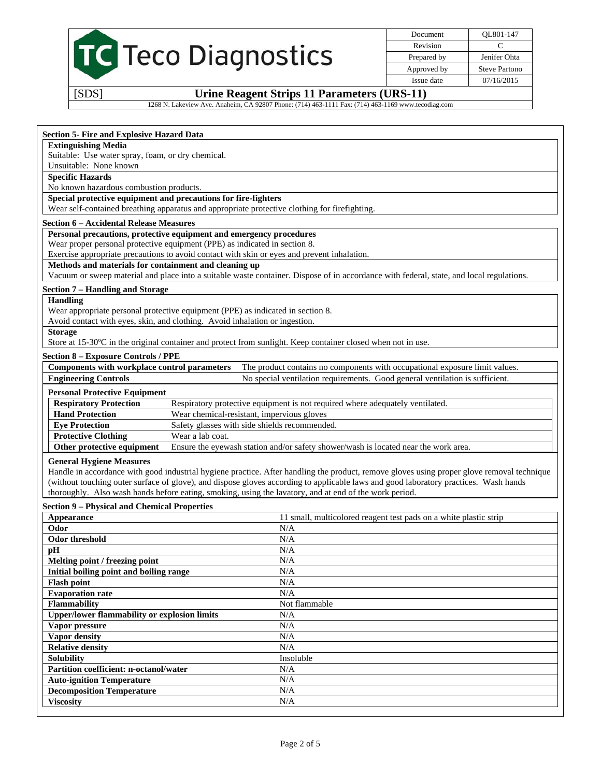| TC Teco Diagnostics |  |
|---------------------|--|
|---------------------|--|

Document QL801-147 Revision C Prepared by **Jenifer Ohta** Approved by Steve Partono Issue date 07/16/2015

[SDS] **Urine Reagent Strips 11 Parameters (URS-11)** 

1268 N. Lakeview Ave. Anaheim, CA 92807 Phone: (714) 463-1111 Fax: (714) 463-1169 www.tecodiag.com

# **Section 5- Fire and Explosive Hazard Data**

#### **Extinguishing Media**

Suitable: Use water spray, foam, or dry chemical.

# Unsuitable: None known

# **Specific Hazards**

No known hazardous combustion products.

### **Special protective equipment and precautions for fire-fighters**

Wear self-contained breathing apparatus and appropriate protective clothing for firefighting.

#### **Section 6 – Accidental Release Measures**

# **Personal precautions, protective equipment and emergency procedures**

Wear proper personal protective equipment (PPE) as indicated in section 8.

Exercise appropriate precautions to avoid contact with skin or eyes and prevent inhalation.

# **Methods and materials for containment and cleaning up**

Vacuum or sweep material and place into a suitable waste container. Dispose of in accordance with federal, state, and local regulations.

# **Section 7 – Handling and Storage**

#### **Handling**

Wear appropriate personal protective equipment (PPE) as indicated in section 8.

Avoid contact with eyes, skin, and clothing. Avoid inhalation or ingestion.

#### **Storage**

Store at 15-30ºC in the original container and protect from sunlight. Keep container closed when not in use.

#### **Section 8 – Exposure Controls / PPE**

| Components with workplace control parameters                                                                                                                                                                                                                                                                | The product contains no components with occupational exposure limit values.                               |
|-------------------------------------------------------------------------------------------------------------------------------------------------------------------------------------------------------------------------------------------------------------------------------------------------------------|-----------------------------------------------------------------------------------------------------------|
| <b>Engineering Controls</b>                                                                                                                                                                                                                                                                                 | No special ventilation requirements. Good general ventilation is sufficient.                              |
| <b>Personal Protective Equipment</b>                                                                                                                                                                                                                                                                        |                                                                                                           |
| $\mathbf{R}$ . $\mathbf{R}$ . $\mathbf{R}$ . $\mathbf{R}$ . $\mathbf{R}$ . $\mathbf{R}$ . $\mathbf{R}$ . $\mathbf{R}$ . $\mathbf{R}$ . $\mathbf{R}$ . $\mathbf{R}$ . $\mathbf{R}$ . $\mathbf{R}$ . $\mathbf{R}$ . $\mathbf{R}$ . $\mathbf{R}$ . $\mathbf{R}$ . $\mathbf{R}$ . $\mathbf{R}$ . $\mathbf{R}$ . | Described einer einer der dem Einer eine der Geschichten der Abereit der Erstellung aber der Eine Abereit |

#### **Respiratory Protection** Respiratory protective equipment is not required where adequately ventilated. **Hand Protection** Wear chemical-resistant, impervious gloves **Eye Protection** Safety glasses with side shields recommended. **Protective Clothing Wear a lab coat.**

**Other protective equipment** Ensure the eyewash station and/or safety shower/wash is located near the work area.

#### **General Hygiene Measures**

Handle in accordance with good industrial hygiene practice. After handling the product, remove gloves using proper glove removal technique (without touching outer surface of glove), and dispose gloves according to applicable laws and good laboratory practices. Wash hands thoroughly. Also wash hands before eating, smoking, using the lavatory, and at end of the work period.

# **Section 9 – Physical and Chemical Properties**

| Appearance                                          | 11 small, multicolored reagent test pads on a white plastic strip |
|-----------------------------------------------------|-------------------------------------------------------------------|
| Odor                                                | N/A                                                               |
| Odor threshold                                      | N/A                                                               |
| pН                                                  | N/A                                                               |
| Melting point / freezing point                      | N/A                                                               |
| Initial boiling point and boiling range             | N/A                                                               |
| <b>Flash point</b>                                  | N/A                                                               |
| <b>Evaporation rate</b>                             | N/A                                                               |
| <b>Flammability</b>                                 | Not flammable                                                     |
| <b>Upper/lower flammability or explosion limits</b> | N/A                                                               |
| Vapor pressure                                      | N/A                                                               |
| Vapor density                                       | N/A                                                               |
| <b>Relative density</b>                             | N/A                                                               |
| <b>Solubility</b>                                   | Insoluble                                                         |
| Partition coefficient: n-octanol/water              | N/A                                                               |
| <b>Auto-ignition Temperature</b>                    | N/A                                                               |
| <b>Decomposition Temperature</b>                    | N/A                                                               |
| <b>Viscosity</b>                                    | N/A                                                               |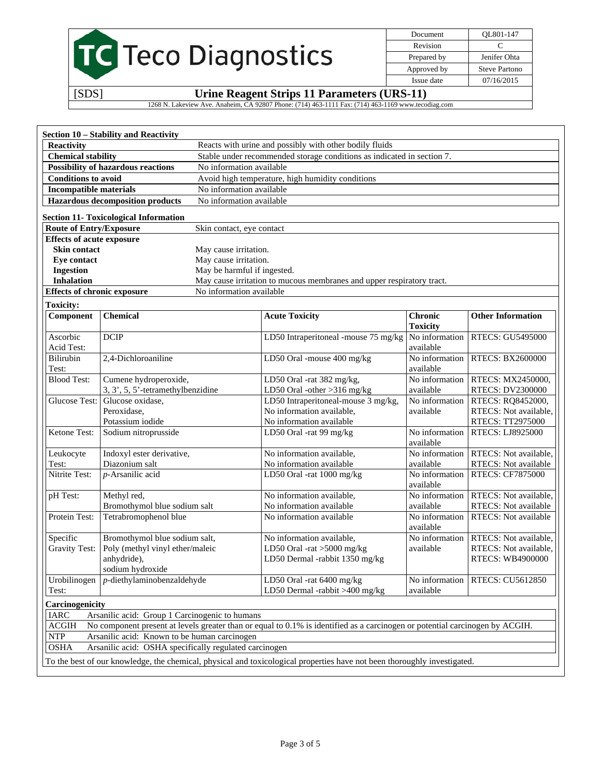|                                                                                                    |                                             | Document    | OL801-147            |  |  |  |  |
|----------------------------------------------------------------------------------------------------|---------------------------------------------|-------------|----------------------|--|--|--|--|
|                                                                                                    | Revision                                    | C           |                      |  |  |  |  |
|                                                                                                    | <b>TC</b> Teco Diagnostics                  | Prepared by | Jenifer Ohta         |  |  |  |  |
|                                                                                                    |                                             | Approved by | <b>Steve Partono</b> |  |  |  |  |
|                                                                                                    |                                             | Issue date  | 07/16/2015           |  |  |  |  |
| [SDS]                                                                                              | Urine Reagent Strips 11 Parameters (URS-11) |             |                      |  |  |  |  |
| 1268 N. Lakeview Ave. Anaheim, CA 92807 Phone: (714) 463-1111 Fax: (714) 463-1169 www.tecodiag.com |                                             |             |                      |  |  |  |  |
|                                                                                                    |                                             |             |                      |  |  |  |  |
|                                                                                                    |                                             |             |                      |  |  |  |  |
| Section 10 – Stability and Reactivity                                                              |                                             |             |                      |  |  |  |  |

| <b>Chemical stability</b>                                                      |                                                                    |                             | Stable under recommended storage conditions as indicated in section 7.                                                       |                                   |                                                  |  |
|--------------------------------------------------------------------------------|--------------------------------------------------------------------|-----------------------------|------------------------------------------------------------------------------------------------------------------------------|-----------------------------------|--------------------------------------------------|--|
| <b>Possibility of hazardous reactions</b><br>No information available          |                                                                    |                             |                                                                                                                              |                                   |                                                  |  |
| <b>Conditions to avoid</b><br>Avoid high temperature, high humidity conditions |                                                                    |                             |                                                                                                                              |                                   |                                                  |  |
| <b>Incompatible materials</b>                                                  |                                                                    |                             | No information available                                                                                                     |                                   |                                                  |  |
|                                                                                | <b>Hazardous decomposition products</b>                            | No information available    |                                                                                                                              |                                   |                                                  |  |
|                                                                                | <b>Section 11- Toxicological Information</b>                       |                             |                                                                                                                              |                                   |                                                  |  |
| <b>Route of Entry/Exposure</b>                                                 |                                                                    | Skin contact, eye contact   |                                                                                                                              |                                   |                                                  |  |
| <b>Effects of acute exposure</b>                                               |                                                                    |                             |                                                                                                                              |                                   |                                                  |  |
| <b>Skin contact</b>                                                            |                                                                    | May cause irritation.       |                                                                                                                              |                                   |                                                  |  |
| Eye contact                                                                    |                                                                    | May cause irritation.       |                                                                                                                              |                                   |                                                  |  |
| <b>Ingestion</b>                                                               |                                                                    | May be harmful if ingested. |                                                                                                                              |                                   |                                                  |  |
| <b>Inhalation</b>                                                              |                                                                    |                             | May cause irritation to mucous membranes and upper respiratory tract.                                                        |                                   |                                                  |  |
| <b>Effects of chronic exposure</b>                                             |                                                                    | No information available    |                                                                                                                              |                                   |                                                  |  |
| <b>Toxicity:</b>                                                               |                                                                    |                             |                                                                                                                              |                                   |                                                  |  |
| Component                                                                      | <b>Chemical</b>                                                    |                             | <b>Acute Toxicity</b>                                                                                                        | <b>Chronic</b><br><b>Toxicity</b> | <b>Other Information</b>                         |  |
| Ascorbic<br>Acid Test:                                                         | <b>DCIP</b>                                                        |                             | LD50 Intraperitoneal -mouse 75 mg/kg                                                                                         | No information<br>available       | RTECS: GU5495000                                 |  |
| Bilirubin<br>Test:                                                             | 2,4-Dichloroaniline                                                |                             | LD50 Oral -mouse 400 mg/kg                                                                                                   | No information<br>available       | <b>RTECS: BX2600000</b>                          |  |
| <b>Blood Test:</b>                                                             | Cumene hydroperoxide,                                              |                             | LD50 Oral -rat 382 mg/kg,                                                                                                    | No information                    | RTECS: MX2450000,                                |  |
|                                                                                | 3, 3', 5, 5'-tetramethylbenzidine                                  |                             | LD50 Oral -other >316 mg/kg                                                                                                  | available                         | <b>RTECS: DV2300000</b>                          |  |
| Glucose Test:                                                                  | Glucose oxidase,                                                   |                             | LD50 Intraperitoneal-mouse 3 mg/kg,                                                                                          | No information                    | RTECS: RQ8452000,                                |  |
|                                                                                | Peroxidase,                                                        |                             | No information available,                                                                                                    | available                         | RTECS: Not available,                            |  |
|                                                                                | Potassium iodide                                                   |                             | No information available                                                                                                     |                                   | RTECS: TT2975000                                 |  |
| Ketone Test:                                                                   | Sodium nitroprusside                                               |                             | LD50 Oral -rat 99 mg/kg                                                                                                      | No information<br>available       | RTECS: LJ8925000                                 |  |
| Leukocyte                                                                      | Indoxyl ester derivative,                                          |                             | No information available,                                                                                                    | No information                    | RTECS: Not available,                            |  |
| Test:                                                                          | Diazonium salt                                                     |                             | No information available                                                                                                     | available                         | RTECS: Not available                             |  |
| Nitrite Test:                                                                  | p-Arsanilic acid                                                   |                             | LD50 Oral -rat 1000 mg/kg                                                                                                    | No information<br>available       | RTECS: CF7875000                                 |  |
| pH Test:                                                                       | Methyl red,                                                        |                             | No information available,                                                                                                    | No information                    | RTECS: Not available,                            |  |
|                                                                                | Bromothymol blue sodium salt                                       |                             | No information available                                                                                                     | available                         | RTECS: Not available                             |  |
| Protein Test:                                                                  | Tetrabromophenol blue                                              |                             | No information available                                                                                                     | No information<br>available       | RTECS: Not available                             |  |
| Specific                                                                       | Bromothymol blue sodium salt,                                      |                             | No information available,                                                                                                    | $\overline{No}$ information       | RTECS: Not available,                            |  |
| <b>Gravity Test:</b>                                                           | Poly (methyl vinyl ether/maleic<br>anhydride),<br>sodium hydroxide |                             | LD50 Oral -rat >5000 mg/kg<br>LD50 Dermal -rabbit 1350 mg/kg                                                                 | available                         | RTECS: Not available,<br><b>RTECS: WB4900000</b> |  |
| Urobilinogen<br>Test:                                                          | $p$ -diethylaminobenzaldehyde                                      |                             | LD50 Oral -rat 6400 mg/kg<br>LD50 Dermal -rabbit $>400$ mg/kg                                                                | No information<br>available       | RTECS: CU5612850                                 |  |
| Carcinogenicity                                                                |                                                                    |                             |                                                                                                                              |                                   |                                                  |  |
| <b>IARC</b>                                                                    | Arsanilic acid: Group 1 Carcinogenic to humans                     |                             |                                                                                                                              |                                   |                                                  |  |
| <b>ACGIH</b>                                                                   |                                                                    |                             | No component present at levels greater than or equal to 0.1% is identified as a carcinogen or potential carcinogen by ACGIH. |                                   |                                                  |  |
| <b>NTP</b>                                                                     | Arsanilic acid: Known to be human carcinogen                       |                             |                                                                                                                              |                                   |                                                  |  |
| <b>OSHA</b>                                                                    | Arsanilic acid: OSHA specifically regulated carcinogen             |                             |                                                                                                                              |                                   |                                                  |  |
|                                                                                |                                                                    |                             |                                                                                                                              |                                   |                                                  |  |
|                                                                                |                                                                    |                             | To the best of our knowledge, the chemical, physical and toxicological properties have not been thoroughly investigated.     |                                   |                                                  |  |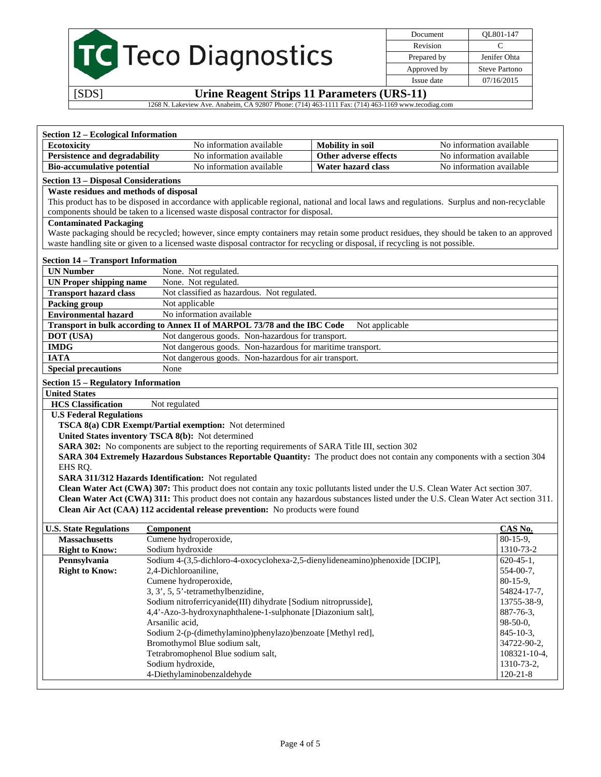TC Teco Diagnostics

Document QL801-147 Revision C Prepared by Jenifer Ohta Approved by Steve Partono Issue date 07/16/2015

# [SDS] **Urine Reagent Strips 11 Parameters (URS-11)**

1268 N. Lakeview Ave. Anaheim, CA 92807 Phone: (714) 463-1111 Fax: (714) 463-1169 www.tecodiag.com

| <b>Section 12 - Ecological Information</b>  |                                                                                                                                             |                         |                             |
|---------------------------------------------|---------------------------------------------------------------------------------------------------------------------------------------------|-------------------------|-----------------------------|
| <b>Ecotoxicity</b>                          | No information available                                                                                                                    | <b>Mobility</b> in soil | No information available    |
| <b>Persistence and degradability</b>        | No information available                                                                                                                    | Other adverse effects   | No information available    |
| <b>Bio-accumulative potential</b>           | No information available                                                                                                                    | Water hazard class      | No information available    |
| <b>Section 13 - Disposal Considerations</b> |                                                                                                                                             |                         |                             |
| Waste residues and methods of disposal      |                                                                                                                                             |                         |                             |
|                                             | This product has to be disposed in accordance with applicable regional, national and local laws and regulations. Surplus and non-recyclable |                         |                             |
|                                             | components should be taken to a licensed waste disposal contractor for disposal.                                                            |                         |                             |
| <b>Contaminated Packaging</b>               |                                                                                                                                             |                         |                             |
|                                             | Waste packaging should be recycled; however, since empty containers may retain some product residues, they should be taken to an approved   |                         |                             |
|                                             | waste handling site or given to a licensed waste disposal contractor for recycling or disposal, if recycling is not possible.               |                         |                             |
| <b>Section 14 - Transport Information</b>   |                                                                                                                                             |                         |                             |
| <b>UN Number</b>                            | None. Not regulated.                                                                                                                        |                         |                             |
| <b>UN Proper shipping name</b>              | None. Not regulated.                                                                                                                        |                         |                             |
| <b>Transport hazard class</b>               | Not classified as hazardous. Not regulated.                                                                                                 |                         |                             |
| <b>Packing group</b>                        | Not applicable                                                                                                                              |                         |                             |
| <b>Environmental hazard</b>                 | No information available                                                                                                                    |                         |                             |
|                                             | Transport in bulk according to Annex II of MARPOL 73/78 and the IBC Code                                                                    | Not applicable          |                             |
| DOT (USA)                                   | Not dangerous goods. Non-hazardous for transport.                                                                                           |                         |                             |
| <b>IMDG</b>                                 | Not dangerous goods. Non-hazardous for maritime transport.                                                                                  |                         |                             |
| <b>IATA</b>                                 | Not dangerous goods. Non-hazardous for air transport.                                                                                       |                         |                             |
| <b>Special precautions</b>                  | None                                                                                                                                        |                         |                             |
|                                             |                                                                                                                                             |                         |                             |
| <b>Section 15 - Regulatory Information</b>  |                                                                                                                                             |                         |                             |
| <b>United States</b>                        |                                                                                                                                             |                         |                             |
| <b>HCS</b> Classification                   | Not regulated                                                                                                                               |                         |                             |
| <b>U.S Federal Regulations</b>              | TSCA 8(a) CDR Exempt/Partial exemption: Not determined                                                                                      |                         |                             |
|                                             | United States inventory TSCA 8(b): Not determined                                                                                           |                         |                             |
|                                             | SARA 302: No components are subject to the reporting requirements of SARA Title III, section 302                                            |                         |                             |
|                                             | SARA 304 Extremely Hazardous Substances Reportable Quantity: The product does not contain any components with a section 304                 |                         |                             |
| EHS RQ.                                     |                                                                                                                                             |                         |                             |
|                                             | <b>SARA 311/312 Hazards Identification:</b> Not regulated                                                                                   |                         |                             |
|                                             | Clean Water Act (CWA) 307: This product does not contain any toxic pollutants listed under the U.S. Clean Water Act section 307.            |                         |                             |
|                                             | Clean Water Act (CWA) 311: This product does not contain any hazardous substances listed under the U.S. Clean Water Act section 311.        |                         |                             |
|                                             | Clean Air Act (CAA) 112 accidental release prevention: No products were found                                                               |                         |                             |
|                                             |                                                                                                                                             |                         |                             |
| <b>U.S. State Regulations</b>               | <b>Component</b>                                                                                                                            |                         | CAS No.                     |
| <b>Massachusetts</b>                        | Cumene hydroperoxide,                                                                                                                       |                         | $80-15-9$ ,                 |
| <b>Right to Know:</b>                       | Sodium hydroxide                                                                                                                            |                         | 1310-73-2<br>$620 - 45 - 1$ |
| Pennsylvania<br><b>Right to Know:</b>       | Sodium 4-(3,5-dichloro-4-oxocyclohexa-2,5-dienylideneamino)phenoxide [DCIP],<br>2,4-Dichloroaniline,                                        |                         | 554-00-7,                   |
|                                             | Cumene hydroperoxide,                                                                                                                       |                         | $80-15-9,$                  |
|                                             | 3, 3', 5, 5'-tetramethylbenzidine,                                                                                                          |                         | 54824-17-7,                 |
|                                             | Sodium nitroferricyanide(III) dihydrate [Sodium nitroprusside],                                                                             |                         | 13755-38-9,                 |
|                                             | 4,4'-Azo-3-hydroxynaphthalene-1-sulphonate [Diazonium salt],                                                                                |                         | 887-76-3,                   |
|                                             | Arsanilic acid,                                                                                                                             |                         | 98-50-0,                    |
|                                             | Sodium 2-(p-(dimethylamino)phenylazo)benzoate [Methyl red],                                                                                 |                         | 845-10-3,                   |
|                                             | Bromothymol Blue sodium salt,                                                                                                               |                         | 34722-90-2,                 |
|                                             | Tetrabromophenol Blue sodium salt,                                                                                                          |                         | 108321-10-4,                |
|                                             | Sodium hydroxide,                                                                                                                           |                         | 1310-73-2,                  |
|                                             | 4-Diethylaminobenzaldehyde                                                                                                                  |                         | $120 - 21 - 8$              |